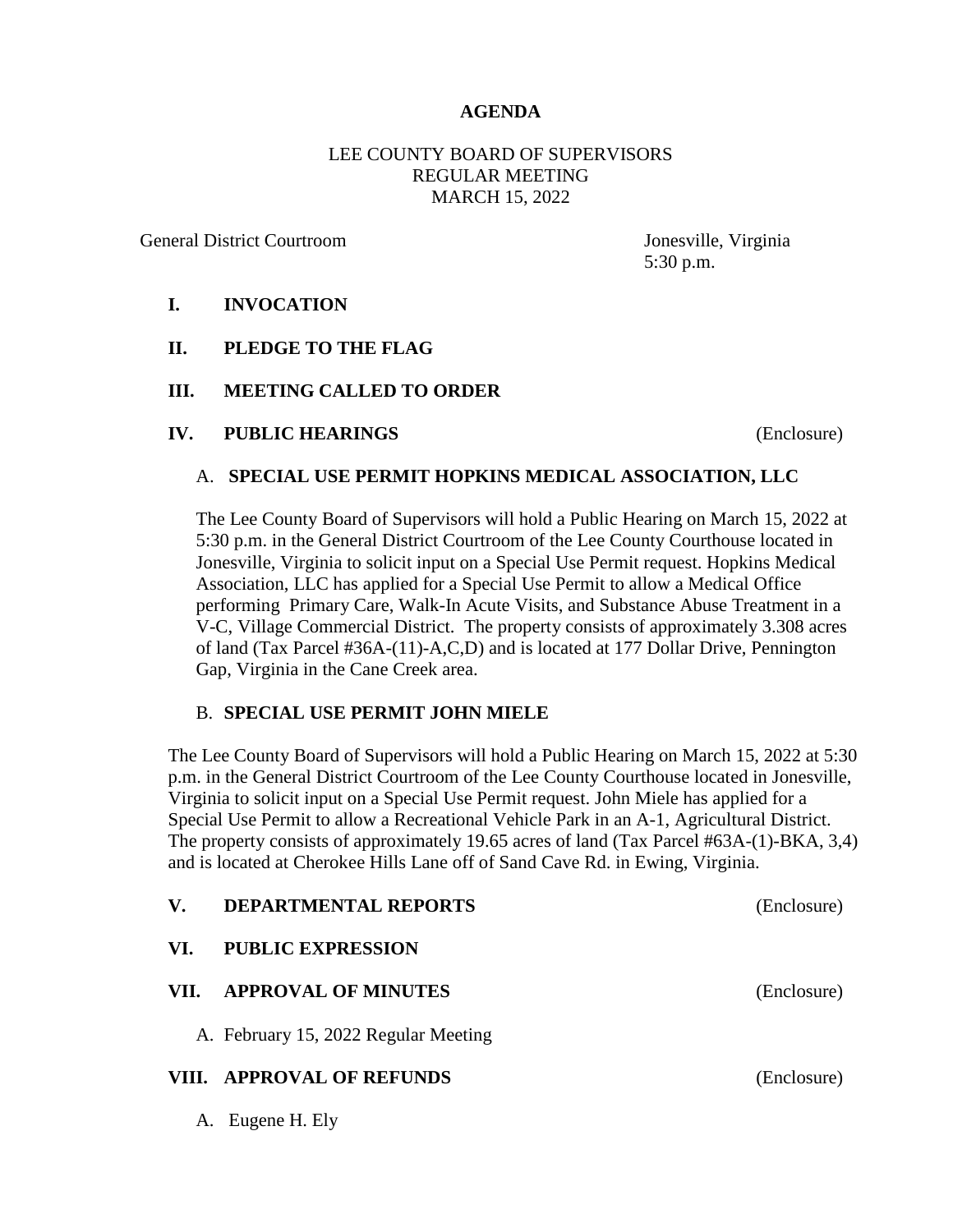### **AGENDA**

## LEE COUNTY BOARD OF SUPERVISORS REGULAR MEETING MARCH 15, 2022

General District Courtroom Jonesville, Virginia

5:30 p.m.

## **I. INVOCATION**

- **II. PLEDGE TO THE FLAG**
- **III. MEETING CALLED TO ORDER**
- **IV. PUBLIC HEARINGS** (Enclosure)

#### A. **SPECIAL USE PERMIT HOPKINS MEDICAL ASSOCIATION, LLC**

The Lee County Board of Supervisors will hold a Public Hearing on March 15, 2022 at 5:30 p.m. in the General District Courtroom of the Lee County Courthouse located in Jonesville, Virginia to solicit input on a Special Use Permit request. Hopkins Medical Association, LLC has applied for a Special Use Permit to allow a Medical Office performing Primary Care, Walk-In Acute Visits, and Substance Abuse Treatment in a V-C, Village Commercial District. The property consists of approximately 3.308 acres of land (Tax Parcel #36A-(11)-A,C,D) and is located at 177 Dollar Drive, Pennington Gap, Virginia in the Cane Creek area.

#### B. **SPECIAL USE PERMIT JOHN MIELE**

The Lee County Board of Supervisors will hold a Public Hearing on March 15, 2022 at 5:30 p.m. in the General District Courtroom of the Lee County Courthouse located in Jonesville, Virginia to solicit input on a Special Use Permit request. John Miele has applied for a Special Use Permit to allow a Recreational Vehicle Park in an A-1, Agricultural District. The property consists of approximately 19.65 acres of land (Tax Parcel #63A-(1)-BKA, 3,4) and is located at Cherokee Hills Lane off of Sand Cave Rd. in Ewing, Virginia.

| $\mathbf{V}_{\cdot}$ | <b>DEPARTMENTAL REPORTS</b>          | (Enclosure) |
|----------------------|--------------------------------------|-------------|
| VI.                  | <b>PUBLIC EXPRESSION</b>             |             |
| VII.                 | <b>APPROVAL OF MINUTES</b>           | (Enclosure) |
|                      | A. February 15, 2022 Regular Meeting |             |
|                      | VIII. APPROVAL OF REFUNDS            | (Enclosure) |
|                      | $\sqrt{2}$                           |             |

A. Eugene H. Ely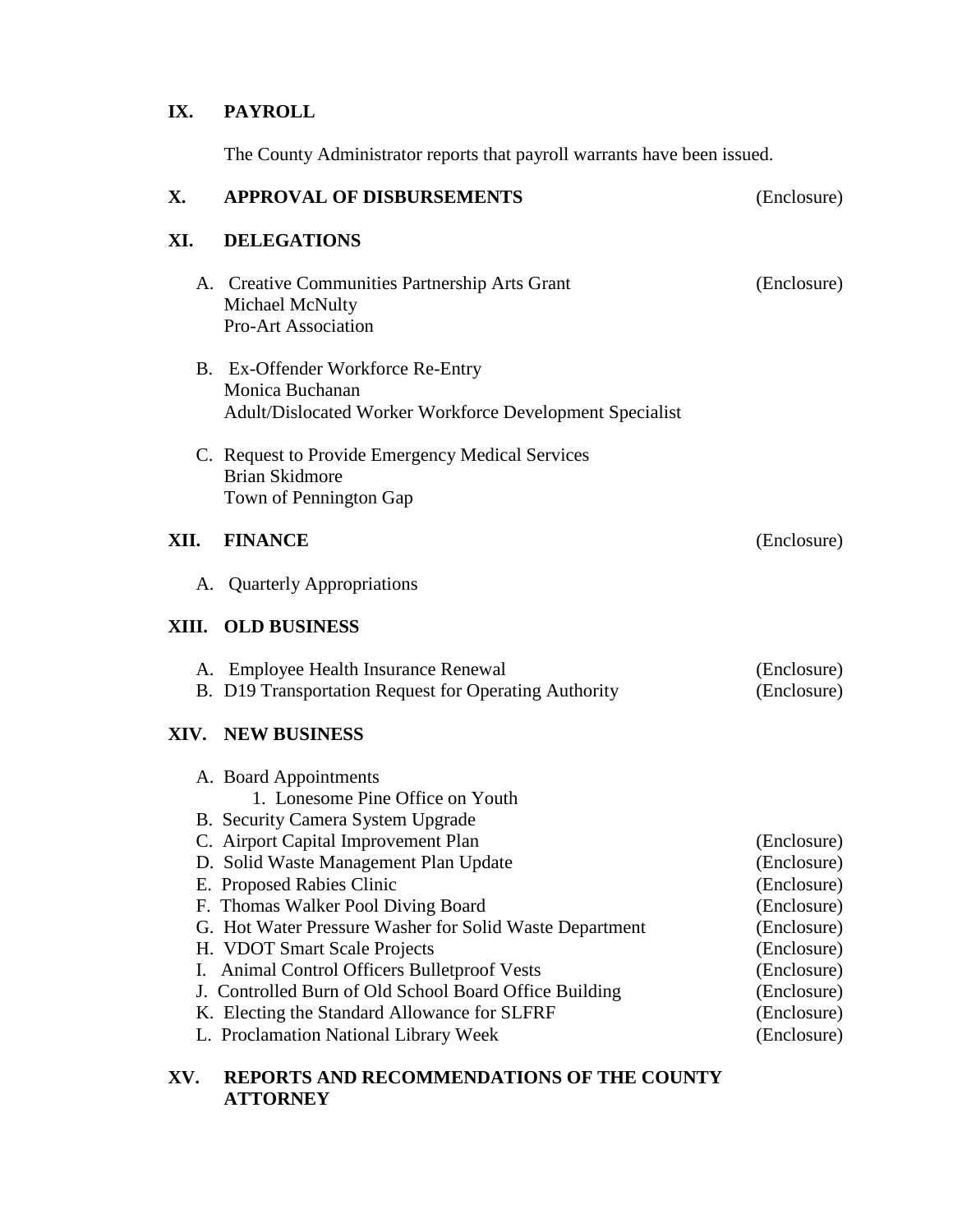# **IX. PAYROLL**

The County Administrator reports that payroll warrants have been issued.

| X.   | <b>APPROVAL OF DISBURSEMENTS</b>                                                                                                                                                                                                                                                                                                                                                                                                                                                                                                             | (Enclosure)                                                                                                                                        |
|------|----------------------------------------------------------------------------------------------------------------------------------------------------------------------------------------------------------------------------------------------------------------------------------------------------------------------------------------------------------------------------------------------------------------------------------------------------------------------------------------------------------------------------------------------|----------------------------------------------------------------------------------------------------------------------------------------------------|
| XI.  | <b>DELEGATIONS</b>                                                                                                                                                                                                                                                                                                                                                                                                                                                                                                                           |                                                                                                                                                    |
|      | A. Creative Communities Partnership Arts Grant<br>Michael McNulty<br><b>Pro-Art Association</b>                                                                                                                                                                                                                                                                                                                                                                                                                                              | (Enclosure)                                                                                                                                        |
|      | B. Ex-Offender Workforce Re-Entry<br>Monica Buchanan<br>Adult/Dislocated Worker Workforce Development Specialist                                                                                                                                                                                                                                                                                                                                                                                                                             |                                                                                                                                                    |
|      | C. Request to Provide Emergency Medical Services<br><b>Brian Skidmore</b><br>Town of Pennington Gap                                                                                                                                                                                                                                                                                                                                                                                                                                          |                                                                                                                                                    |
| XII. | <b>FINANCE</b>                                                                                                                                                                                                                                                                                                                                                                                                                                                                                                                               | (Enclosure)                                                                                                                                        |
|      | A. Quarterly Appropriations                                                                                                                                                                                                                                                                                                                                                                                                                                                                                                                  |                                                                                                                                                    |
|      | XIII. OLD BUSINESS                                                                                                                                                                                                                                                                                                                                                                                                                                                                                                                           |                                                                                                                                                    |
|      | A. Employee Health Insurance Renewal<br>B. D19 Transportation Request for Operating Authority                                                                                                                                                                                                                                                                                                                                                                                                                                                | (Enclosure)<br>(Enclosure)                                                                                                                         |
|      | <b>XIV. NEW BUSINESS</b>                                                                                                                                                                                                                                                                                                                                                                                                                                                                                                                     |                                                                                                                                                    |
| I.   | A. Board Appointments<br>1. Lonesome Pine Office on Youth<br>B. Security Camera System Upgrade<br>C. Airport Capital Improvement Plan<br>D. Solid Waste Management Plan Update<br>E. Proposed Rabies Clinic<br>F. Thomas Walker Pool Diving Board<br>G. Hot Water Pressure Washer for Solid Waste Department<br>H. VDOT Smart Scale Projects<br>Animal Control Officers Bulletproof Vests<br>J. Controlled Burn of Old School Board Office Building<br>K. Electing the Standard Allowance for SLFRF<br>L. Proclamation National Library Week | (Enclosure)<br>(Enclosure)<br>(Enclosure)<br>(Enclosure)<br>(Enclosure)<br>(Enclosure)<br>(Enclosure)<br>(Enclosure)<br>(Enclosure)<br>(Enclosure) |

## **XV. REPORTS AND RECOMMENDATIONS OF THE COUNTY ATTORNEY**